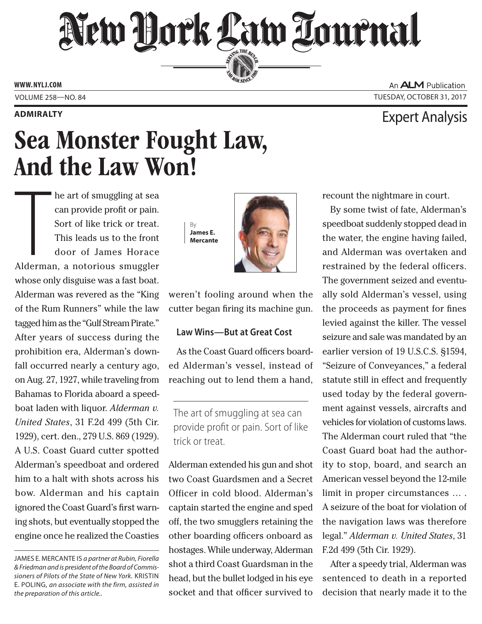# New Dork Law Lournal SERVING THE BET

**ED BAR SINCE 1888** 

**www. NYLJ.com**

## **Admiralty** Expert Analysis

# Sea Monster Fought Law, And the Law Won!

he art of smuggling at sea

The art of smuggling at sea<br>
can provide profit or pain.<br>
Sort of like trick or treat.<br>
This leads us to the front<br>
door of James Horace<br>
Alderman, a notorious smuggler can provide profit or pain. Sort of like trick or treat. This leads us to the front door of James Horace whose only disguise was a fast boat. Alderman was revered as the "King of the Rum Runners" while the law tagged him as the "Gulf Stream Pirate." After years of success during the prohibition era, Alderman's downfall occurred nearly a century ago, on Aug. 27, 1927, while traveling from Bahamas to Florida aboard a speedboat laden with liquor. *Alderman v. United States*, 31 F.2d 499 (5th Cir. 1929), cert. den., 279 U.S. 869 (1929). A U.S. Coast Guard cutter spotted Alderman's speedboat and ordered him to a halt with shots across his bow. Alderman and his captain ignored the Coast Guard's first warning shots, but eventually stopped the engine once he realized the Coasties





weren't fooling around when the cutter began firing its machine gun.

### **Law Wins—But at Great Cost**

As the Coast Guard officers boarded Alderman's vessel, instead of reaching out to lend them a hand,

The art of smuggling at sea can provide profit or pain. Sort of like trick or treat.

Alderman extended his gun and shot two Coast Guardsmen and a Secret Officer in cold blood. Alderman's captain started the engine and sped off, the two smugglers retaining the other boarding officers onboard as hostages. While underway, Alderman shot a third Coast Guardsman in the head, but the bullet lodged in his eye socket and that officer survived to

recount the nightmare in court.

By some twist of fate, Alderman's speedboat suddenly stopped dead in the water, the engine having failed, and Alderman was overtaken and restrained by the federal officers. The government seized and eventually sold Alderman's vessel, using the proceeds as payment for fines levied against the killer. The vessel seizure and sale was mandated by an earlier version of 19 U.S.C.S. §1594, "Seizure of Conveyances," a federal statute still in effect and frequently used today by the federal government against vessels, aircrafts and vehicles for violation of customs laws. The Alderman court ruled that "the Coast Guard boat had the authority to stop, board, and search an American vessel beyond the 12-mile limit in proper circumstances … . A seizure of the boat for violation of the navigation laws was therefore legal." *Alderman v. United States*, 31 F.2d 499 (5th Cir. 1929).

After a speedy trial, Alderman was sentenced to death in a reported decision that nearly made it to the

An **ALM** Publication Volume 258—NO. 84 Tuesday, October 31, 2017

James E. Mercante is *a partner at Rubin, Fiorella & Friedman and is president of the Board of Commis*sioners of Pilots of the State of New York. KRISTIN E. Poling, *an associate with the firm, assisted in the preparation of this article..*